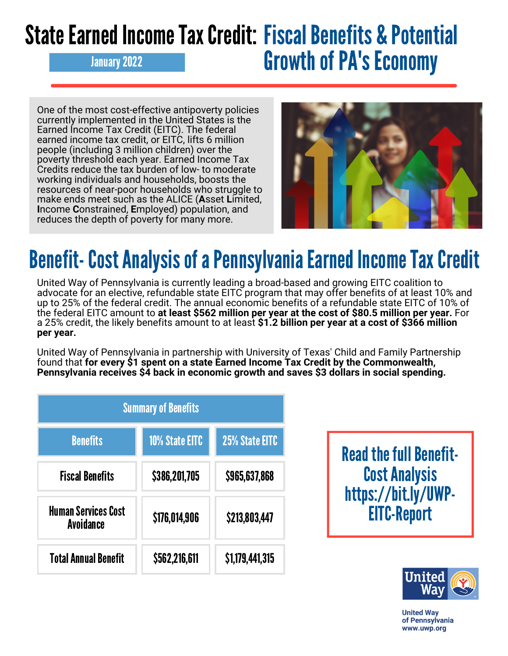## State Earned Income Tax Credit: Fiscal Benefits & Potential January 2022 **Growth of PA's Economy**

One of the most cost-effective antipoverty policies currently implemented in the United States is the Earned Income Tax Credit (EITC). The federal earned income tax credit, or EITC, lifts 6 million people (including 3 million children) over the poverty threshold each year. Earned Income Tax Credits reduce the tax burden of low- to moderate working individuals and households, boosts the resources of near-poor households who struggle to make ends meet such as the ALICE (**A**sset **L**imited, **I**ncome **C**onstrained, **E**mployed) population, and reduces the depth of poverty for many more.



## Benefit- Cost Analysis of a Pennsylvania Earned Income Tax Credit

United Way of Pennsylvania is currently leading a broad-based and growing EITC coalition to advocate for an elective, refundable state EITC program that may offer benefits of at least 10% and up to 25% of the federal credit. The annual economic benefits of a refundable state EITC of 10% of the federal EITC amount to **at least \$562 million per year at the cost of \$80.5 million per year.** For a 25% credit, the likely benefits amount to at least **\$1.2 billion per year at a cost of \$366 million per year.**

United Way of Pennsylvania in partnership with University of Texas' Child and Family Partnership found that **for every \$1 spent on a state Earned Income Tax Credit by the Commonwealth, Pennsylvania receives \$4 back in economic growth and saves \$3 dollars in social spending.**

| <b>Summary of Benefits</b>                     |                       |                 |  |
|------------------------------------------------|-----------------------|-----------------|--|
| <b>Benefits</b>                                | <b>10% State EITC</b> | 25% State EITC  |  |
| <b>Fiscal Benefits</b>                         | \$386,201,705         | \$965,637,868   |  |
| <b>Human Services Cost</b><br><b>Avoidance</b> | \$176,014,906         | \$213,803,447   |  |
| <b>Total Annual Benefit</b>                    | \$562,216,611         | \$1,179,441,315 |  |

**Read the full Benefit-**CostAnalysis [https://bit.ly/UWP-](https://bit.ly/UWP-EITC-Report)EITC-Report



**United Wav** of Pennsylvania www.uwp.org